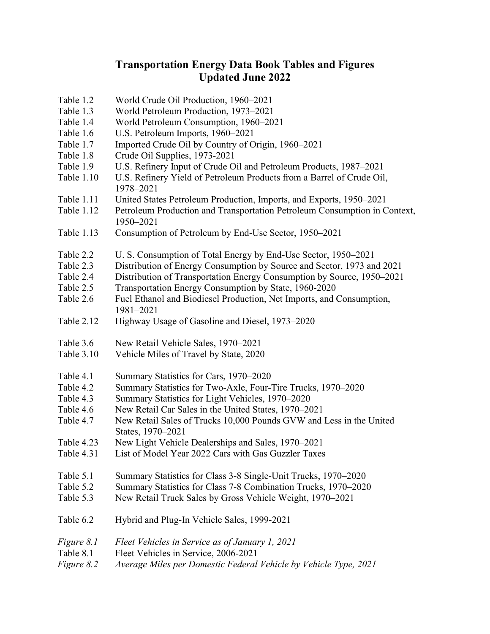## **Transportation Energy Data Book Tables and Figures Updated June 2022**

- Table 1.2 World Crude Oil Production, 1960–2021
- Table 1.3 World Petroleum Production, 1973–2021
- Table 1.4 World Petroleum Consumption, 1960–2021
- Table 1.6 U.S. Petroleum Imports, 1960–2021
- Table 1.7 Imported Crude Oil by Country of Origin, 1960–2021
- Table 1.8 Crude Oil Supplies, 1973-2021
- Table 1.9 U.S. Refinery Input of Crude Oil and Petroleum Products, 1987–2021
- Table 1.10 U.S. Refinery Yield of Petroleum Products from a Barrel of Crude Oil, 1978–2021
- Table 1.11 United States Petroleum Production, Imports, and Exports, 1950–2021
- Table 1.12 Petroleum Production and Transportation Petroleum Consumption in Context, 1950–2021
- Table 1.13 Consumption of Petroleum by End-Use Sector, 1950–2021
- Table 2.2 U. S. Consumption of Total Energy by End-Use Sector, 1950–2021
- Table 2.3 Distribution of Energy Consumption by Source and Sector, 1973 and 2021
- Table 2.4 Distribution of Transportation Energy Consumption by Source, 1950–2021
- Table 2.5 Transportation Energy Consumption by State, 1960-2020
- Table 2.6 Fuel Ethanol and Biodiesel Production, Net Imports, and Consumption, 1981–2021
- Table 2.12 Highway Usage of Gasoline and Diesel, 1973–2020
- Table 3.6 New Retail Vehicle Sales, 1970–2021
- Table 3.10 Vehicle Miles of Travel by State, 2020
- Table 4.1 Summary Statistics for Cars, 1970–2020
- Table 4.2 Summary Statistics for Two-Axle, Four-Tire Trucks, 1970–2020
- Table 4.3 Summary Statistics for Light Vehicles, 1970–2020
- Table 4.6 New Retail Car Sales in the United States, 1970–2021
- Table 4.7 New Retail Sales of Trucks 10,000 Pounds GVW and Less in the United States, 1970–2021
- Table 4.23 New Light Vehicle Dealerships and Sales, 1970–2021
- Table 4.31 List of Model Year 2022 Cars with Gas Guzzler Taxes
- Table 5.1 Summary Statistics for Class 3-8 Single-Unit Trucks, 1970–2020
- Table 5.2 Summary Statistics for Class 7-8 Combination Trucks, 1970–2020
- Table 5.3 New Retail Truck Sales by Gross Vehicle Weight, 1970–2021
- Table 6.2 Hybrid and Plug-In Vehicle Sales, 1999-2021
- *Figure 8.1 Fleet Vehicles in Service as of January 1, 2021*
- Table 8.1 Fleet Vehicles in Service, 2006-2021
- *Figure 8.2 Average Miles per Domestic Federal Vehicle by Vehicle Type, 2021*